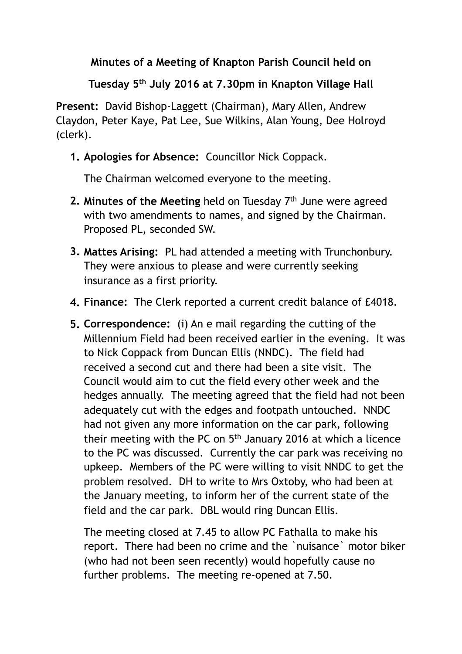## **Minutes of a Meeting of Knapton Parish Council held on**

## **Tuesday 5th July 2016 at 7.30pm in Knapton Village Hall**

**Present:** David Bishop-Laggett (Chairman), Mary Allen, Andrew Claydon, Peter Kaye, Pat Lee, Sue Wilkins, Alan Young, Dee Holroyd (clerk).

## **1. Apologies for Absence:** Councillor Nick Coppack.

The Chairman welcomed everyone to the meeting.

- **2. Minutes of the Meeting** held on Tuesday 7th June were agreed with two amendments to names, and signed by the Chairman. Proposed PL, seconded SW.
- **3. Mattes Arising:** PL had attended a meeting with Trunchonbury. They were anxious to please and were currently seeking insurance as a first priority.
- **4. Finance:** The Clerk reported a current credit balance of £4018.
- **5. Correspondence:** (i) An e mail regarding the cutting of the Millennium Field had been received earlier in the evening. It was to Nick Coppack from Duncan Ellis (NNDC). The field had received a second cut and there had been a site visit. The Council would aim to cut the field every other week and the hedges annually. The meeting agreed that the field had not been adequately cut with the edges and footpath untouched. NNDC had not given any more information on the car park, following their meeting with the PC on 5th January 2016 at which a licence to the PC was discussed. Currently the car park was receiving no upkeep. Members of the PC were willing to visit NNDC to get the problem resolved. DH to write to Mrs Oxtoby, who had been at the January meeting, to inform her of the current state of the field and the car park. DBL would ring Duncan Ellis.

The meeting closed at 7.45 to allow PC Fathalla to make his report. There had been no crime and the `nuisance` motor biker (who had not been seen recently) would hopefully cause no further problems. The meeting re-opened at 7.50.